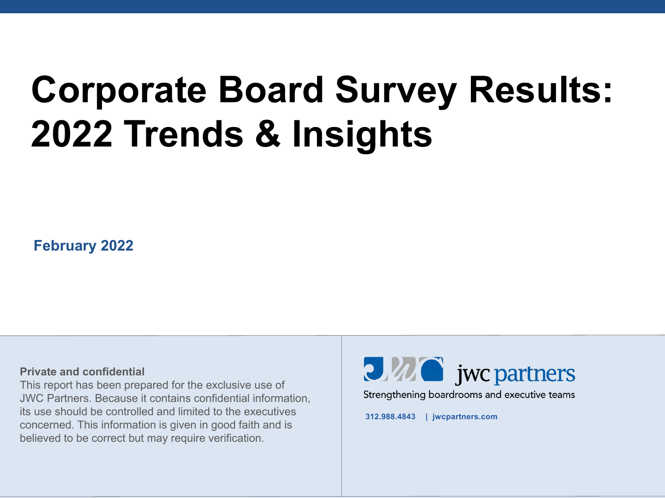# **Corporate Board Survey Results: 2022 Trends & Insights**

**February 2022**

#### **Private and confidential**

This report has been prepared for the exclusive use of JWC Partners. Because it contains confidential information, its use should be controlled and limited to the executives concerned. This information is given in good faith and is believed to be correct but may require verification.



**312.988.4843 | jwcpartners.com**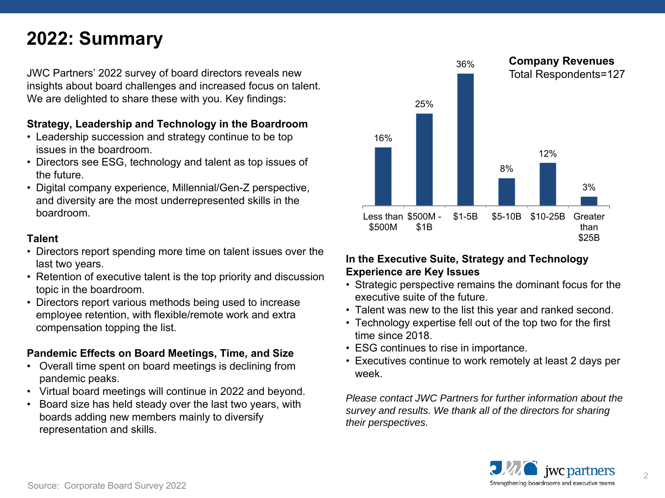# **2022: Summary**

JWC Partners' 2022 survey of board directors reveals new insights about board challenges and increased focus on talent. We are delighted to share these with you. Key findings:

#### **Strategy, Leadership and Technology in the Boardroom**

- Leadership succession and strategy continue to be top issues in the boardroom.
- Directors see ESG, technology and talent as top issues of the future.
- Digital company experience, Millennial/Gen-Z perspective, and diversity are the most underrepresented skills in the boardroom.

#### **Talent**

- Directors report spending more time on talent issues over the last two years.
- Retention of executive talent is the top priority and discussion topic in the boardroom.
- Directors report various methods being used to increase employee retention, with flexible/remote work and extra compensation topping the list.

#### **Pandemic Effects on Board Meetings, Time, and Size**

- Overall time spent on board meetings is declining from pandemic peaks.
- Virtual board meetings will continue in 2022 and beyond.
- Board size has held steady over the last two years, with boards adding new members mainly to diversify representation and skills.



#### **In the Executive Suite, Strategy and Technology Experience are Key Issues**

- Strategic perspective remains the dominant focus for the executive suite of the future.
- Talent was new to the list this year and ranked second.
- Technology expertise fell out of the top two for the first time since 2018.
- ESG continues to rise in importance.
- Executives continue to work remotely at least 2 days per week.

*Please contact JWC Partners for further information about the survey and results. We thank all of the directors for sharing their perspectives.*

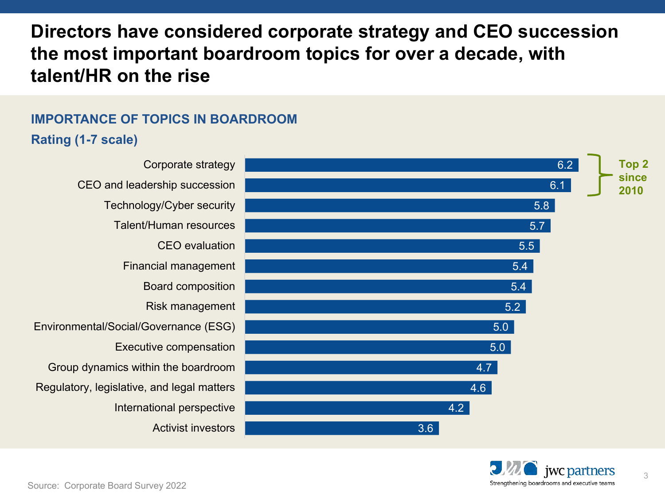# **Directors have considered corporate strategy and CEO succession the most important boardroom topics for over a decade, with talent/HR on the rise**

## **IMPORTANCE OF TOPICS IN BOARDROOM Rating (1-7 scale)**



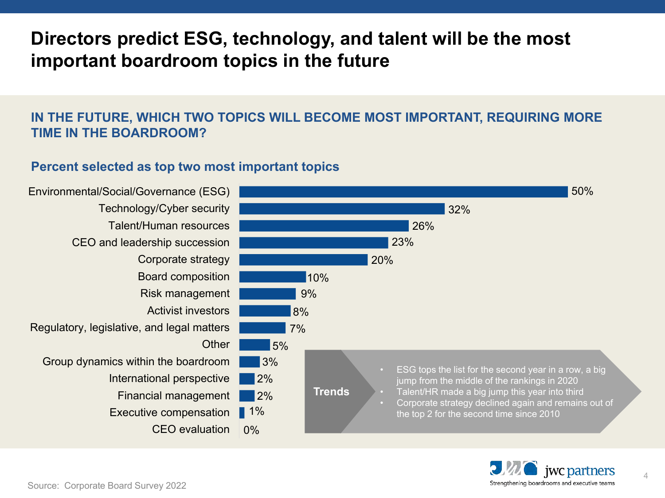# **Directors predict ESG, technology, and talent will be the most important boardroom topics in the future**

#### **IN THE FUTURE, WHICH TWO TOPICS WILL BECOME MOST IMPORTANT, REQUIRING MORE TIME IN THE BOARDROOM?**

#### **Percent selected as top two most important topics**



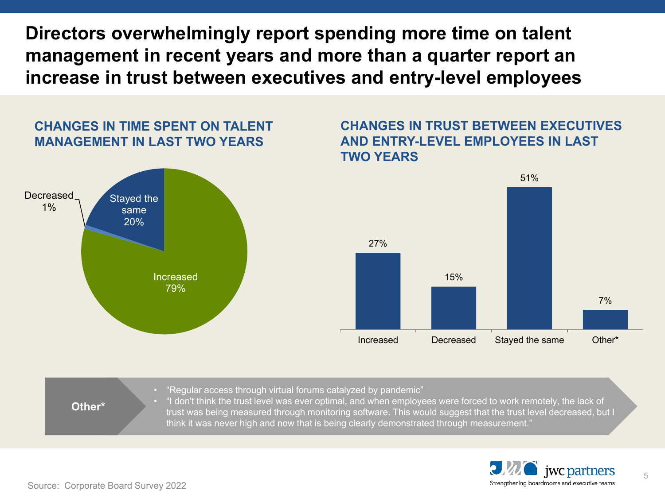**Directors overwhelmingly report spending more time on talent management in recent years and more than a quarter report an increase in trust between executives and entry-level employees**

#### **CHANGES IN TIME SPENT ON TALENT MANAGEMENT IN LAST TWO YEARS**



#### **CHANGES IN TRUST BETWEEN EXECUTIVES AND ENTRY-LEVEL EMPLOYEES IN LAST TWO YEARS**







Source: Corporate Board Survey 2022

5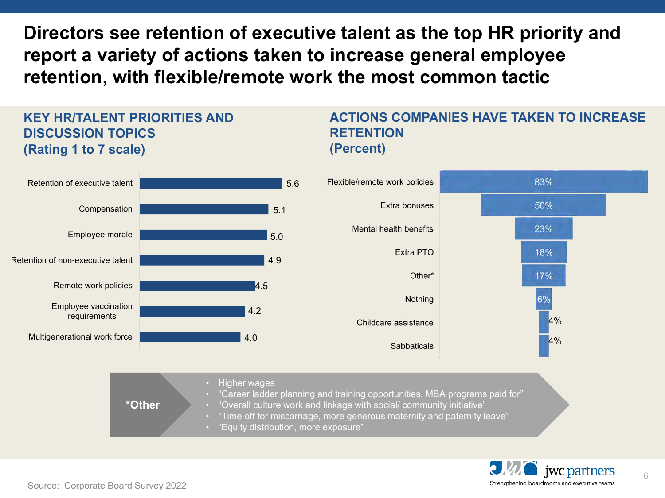**Directors see retention of executive talent as the top HR priority and report a variety of actions taken to increase general employee retention, with flexible/remote work the most common tactic**

#### **KEY HR/TALENT PRIORITIES AND DISCUSSION TOPICS (Rating 1 to 7 scale)**

#### **ACTIONS COMPANIES HAVE TAKEN TO INCREASE RETENTION (Percent)**



• "Equity distribution, more exposure"



6

Source: Corporate Board Survey 2022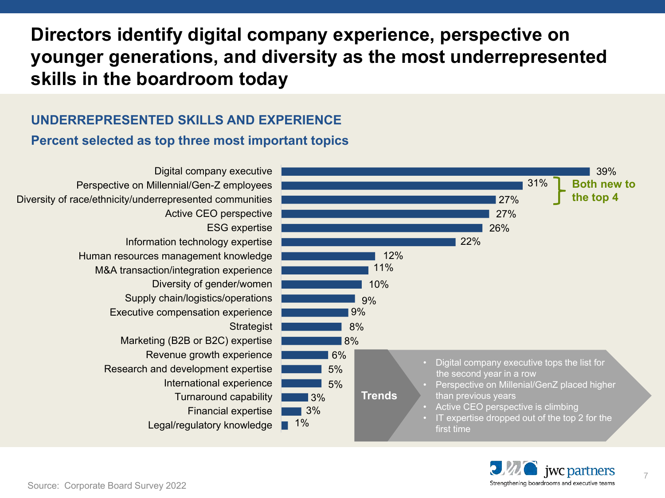# **Directors identify digital company experience, perspective on younger generations, and diversity as the most underrepresented skills in the boardroom today**

### **UNDERREPRESENTED SKILLS AND EXPERIENCE**

#### **Percent selected as top three most important topics**



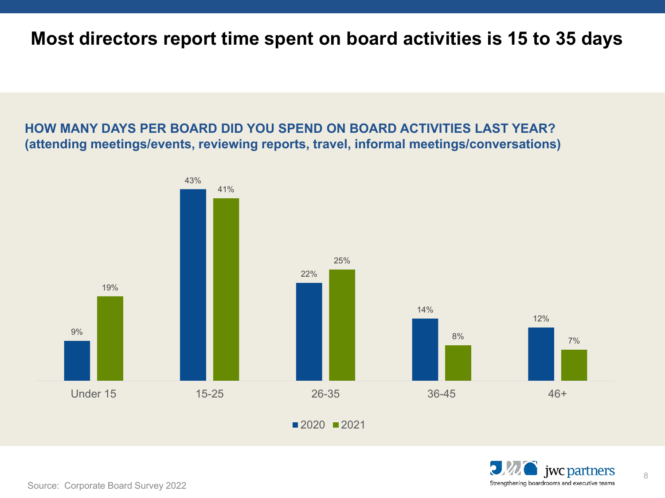## **Most directors report time spent on board activities is 15 to 35 days**

#### **HOW MANY DAYS PER BOARD DID YOU SPEND ON BOARD ACTIVITIES LAST YEAR? (attending meetings/events, reviewing reports, travel, informal meetings/conversations)**





8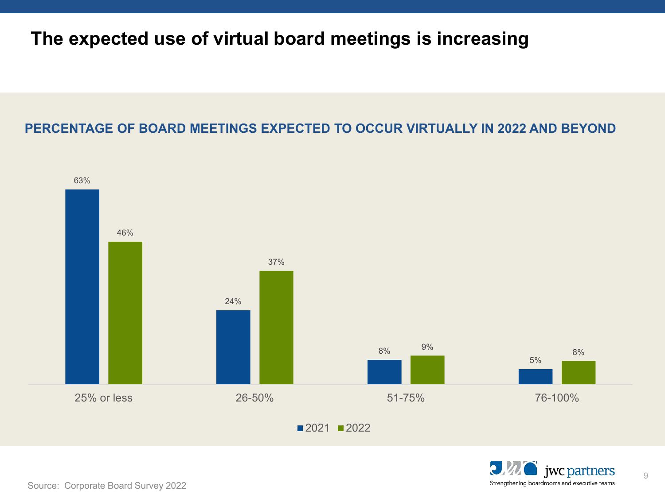## **The expected use of virtual board meetings is increasing**

## **PERCENTAGE OF BOARD MEETINGS EXPECTED TO OCCUR VIRTUALLY IN 2022 AND BEYOND**





9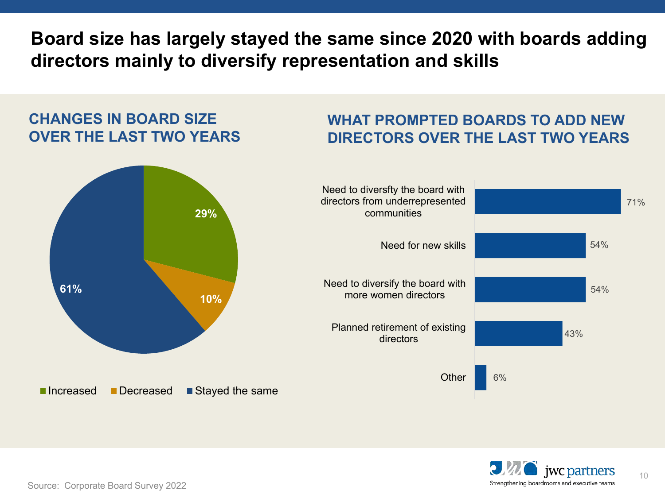**Board size has largely stayed the same since 2020 with boards adding directors mainly to diversify representation and skills**

## **CHANGES IN BOARD SIZE OVER THE LAST TWO YEARS**

## **WHAT PROMPTED BOARDS TO ADD NEW DIRECTORS OVER THE LAST TWO YEARS**





10

Source: Corporate Board Survey 2022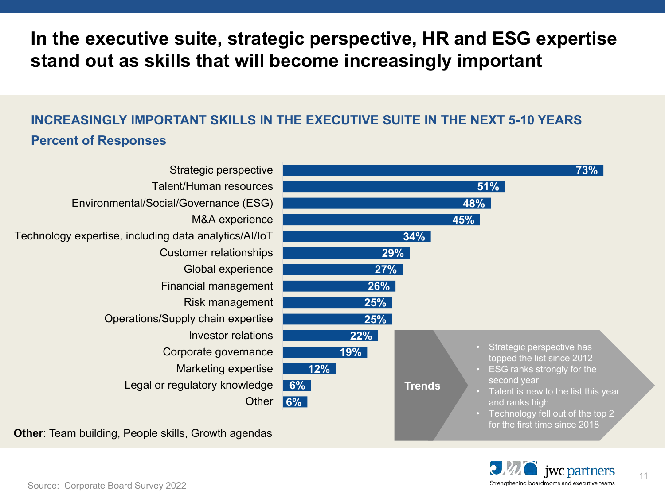# **In the executive suite, strategic perspective, HR and ESG expertise stand out as skills that will become increasingly important**

## **INCREASINGLY IMPORTANT SKILLS IN THE EXECUTIVE SUITE IN THE NEXT 5-10 YEARS Percent of Responses**



**Other**: Team building, People skills, Growth agendas

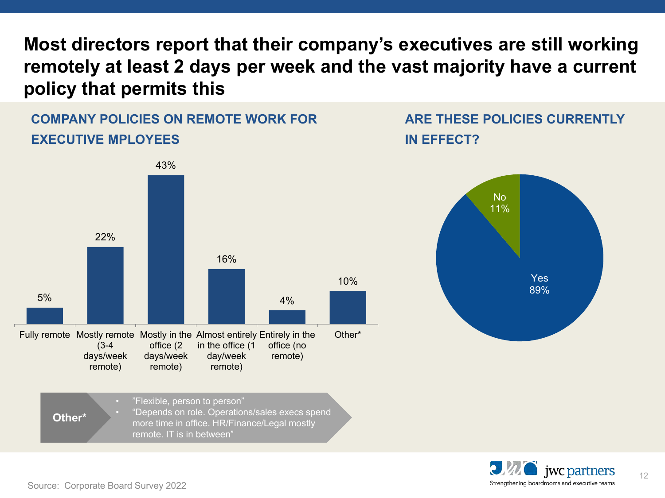**Most directors report that their company's executives are still working remotely at least 2 days per week and the vast majority have a current policy that permits this**

## **COMPANY POLICIES ON REMOTE WORK FOR EXECUTIVE MPLOYEES**



• "Flexible, person to person" • "Depends on role. Operations/sales execs spend more time in office. HR/Finance/Legal mostly remote. IT is in between" **Other\***

## **ARE THESE POLICIES CURRENTLY IN EFFECT?**





12

Source: Corporate Board Survey 2022